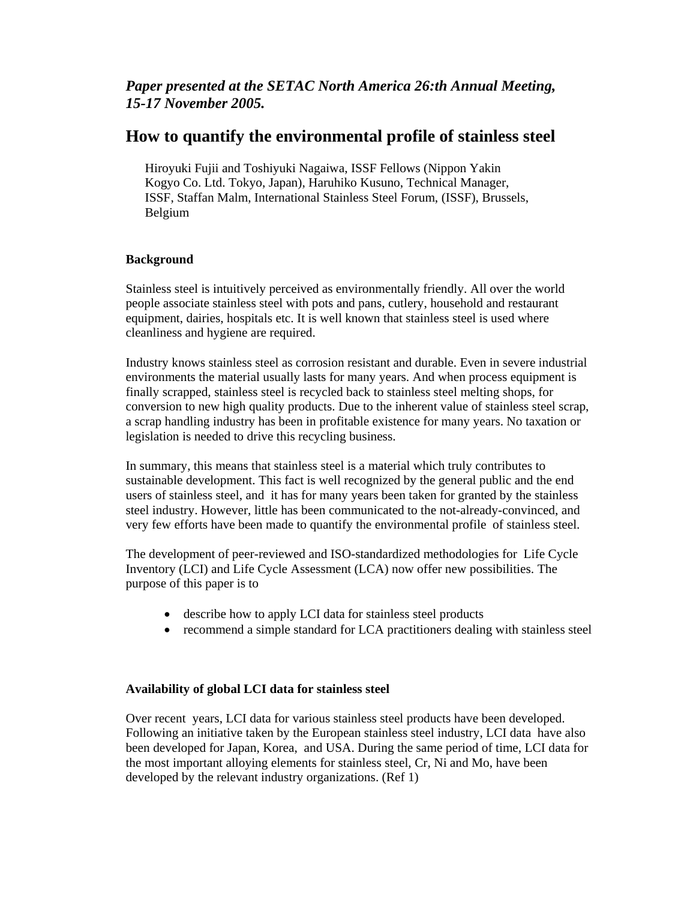# *Paper presented at the SETAC North America 26:th Annual Meeting, 15-17 November 2005.*

# **How to quantify the environmental profile of stainless steel**

 Hiroyuki Fujii and Toshiyuki Nagaiwa, ISSF Fellows (Nippon Yakin Kogyo Co. Ltd. Tokyo, Japan), Haruhiko Kusuno, Technical Manager, ISSF, Staffan Malm, International Stainless Steel Forum, (ISSF), Brussels, Belgium

# **Background**

Stainless steel is intuitively perceived as environmentally friendly. All over the world people associate stainless steel with pots and pans, cutlery, household and restaurant equipment, dairies, hospitals etc. It is well known that stainless steel is used where cleanliness and hygiene are required.

Industry knows stainless steel as corrosion resistant and durable. Even in severe industrial environments the material usually lasts for many years. And when process equipment is finally scrapped, stainless steel is recycled back to stainless steel melting shops, for conversion to new high quality products. Due to the inherent value of stainless steel scrap, a scrap handling industry has been in profitable existence for many years. No taxation or legislation is needed to drive this recycling business.

In summary, this means that stainless steel is a material which truly contributes to sustainable development. This fact is well recognized by the general public and the end users of stainless steel, and it has for many years been taken for granted by the stainless steel industry. However, little has been communicated to the not-already-convinced, and very few efforts have been made to quantify the environmental profile of stainless steel.

The development of peer-reviewed and ISO-standardized methodologies for Life Cycle Inventory (LCI) and Life Cycle Assessment (LCA) now offer new possibilities. The purpose of this paper is to

- describe how to apply LCI data for stainless steel products
- recommend a simple standard for LCA practitioners dealing with stainless steel

### **Availability of global LCI data for stainless steel**

Over recent years, LCI data for various stainless steel products have been developed. Following an initiative taken by the European stainless steel industry, LCI data have also been developed for Japan, Korea, and USA. During the same period of time, LCI data for the most important alloying elements for stainless steel, Cr, Ni and Mo, have been developed by the relevant industry organizations. (Ref 1)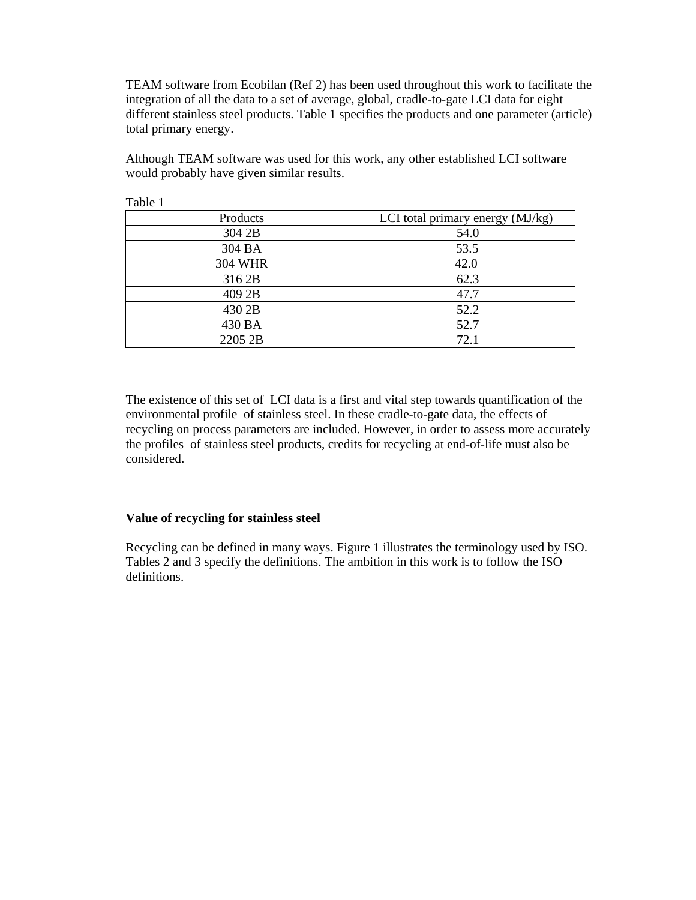TEAM software from Ecobilan (Ref 2) has been used throughout this work to facilitate the integration of all the data to a set of average, global, cradle-to-gate LCI data for eight different stainless steel products. Table 1 specifies the products and one parameter (article) total primary energy.

Although TEAM software was used for this work, any other established LCI software would probably have given similar results.

| Products       | LCI total primary energy $(MJ/kg)$ |
|----------------|------------------------------------|
| 304 2B         | 54.0                               |
| 304 BA         | 53.5                               |
| <b>304 WHR</b> | 42.0                               |
| 316 2B         | 62.3                               |
| 409 2B         | 47.7                               |
| 430 2B         | 52.2                               |
| 430 BA         | 52.7                               |
| 2205 2B        | 72.1                               |
|                |                                    |

Table 1

The existence of this set of LCI data is a first and vital step towards quantification of the environmental profile of stainless steel. In these cradle-to-gate data, the effects of recycling on process parameters are included. However, in order to assess more accurately the profiles of stainless steel products, credits for recycling at end-of-life must also be considered.

# **Value of recycling for stainless steel**

Recycling can be defined in many ways. Figure 1 illustrates the terminology used by ISO. Tables 2 and 3 specify the definitions. The ambition in this work is to follow the ISO definitions.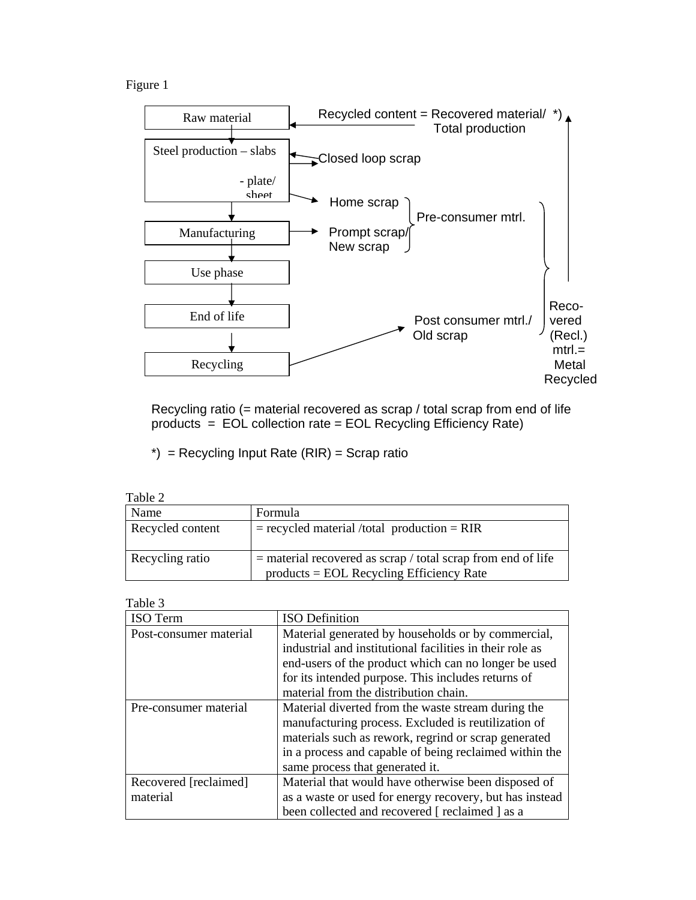### Figure 1



Recycling ratio (= material recovered as scrap / total scrap from end of life products = EOL collection rate = EOL Recycling Efficiency Rate)

 $*)$  = Recycling Input Rate (RIR) = Scrap ratio

| anie |
|------|
|------|

| Name             | Formula                                                                                                      |
|------------------|--------------------------------------------------------------------------------------------------------------|
| Recycled content | $=$ recycled material /total production $= RIR$                                                              |
| Recycling ratio  | $=$ material recovered as scrap / total scrap from end of life<br>$products = EOL$ Recycling Efficiency Rate |

Table 3

| ISO Term               | <b>ISO</b> Definition                                    |  |
|------------------------|----------------------------------------------------------|--|
| Post-consumer material | Material generated by households or by commercial,       |  |
|                        | industrial and institutional facilities in their role as |  |
|                        | end-users of the product which can no longer be used     |  |
|                        | for its intended purpose. This includes returns of       |  |
|                        | material from the distribution chain.                    |  |
| Pre-consumer material  | Material diverted from the waste stream during the       |  |
|                        | manufacturing process. Excluded is reutilization of      |  |
|                        | materials such as rework, regrind or scrap generated     |  |
|                        | in a process and capable of being reclaimed within the   |  |
|                        | same process that generated it.                          |  |
| Recovered [reclaimed]  | Material that would have otherwise been disposed of      |  |
| material               | as a waste or used for energy recovery, but has instead  |  |
|                        | been collected and recovered [reclaimed ] as a           |  |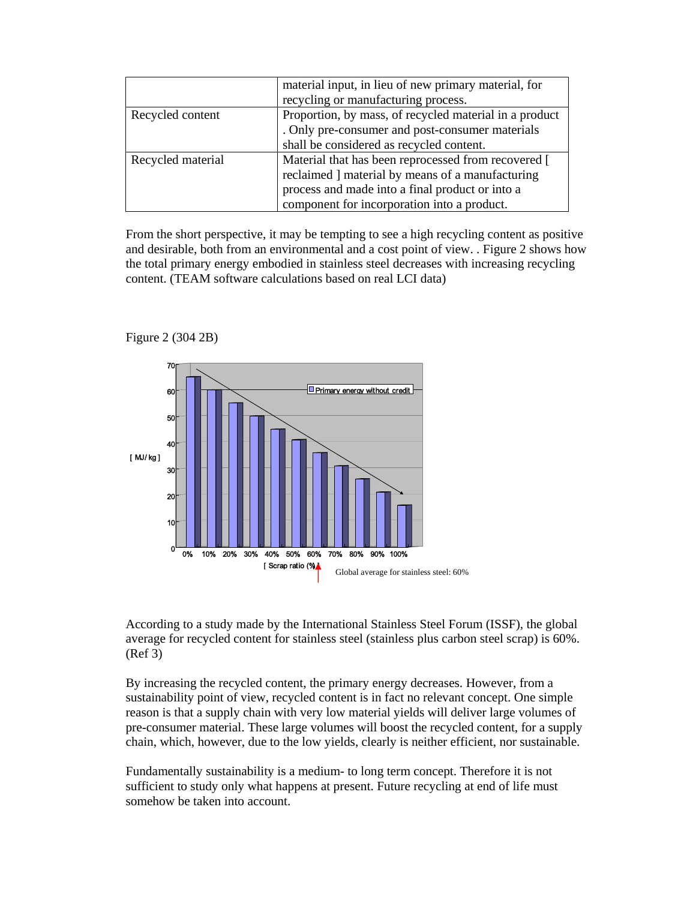|                   | material input, in lieu of new primary material, for   |  |
|-------------------|--------------------------------------------------------|--|
|                   | recycling or manufacturing process.                    |  |
| Recycled content  | Proportion, by mass, of recycled material in a product |  |
|                   | . Only pre-consumer and post-consumer materials        |  |
|                   | shall be considered as recycled content.               |  |
| Recycled material | Material that has been reprocessed from recovered [    |  |
|                   | reclaimed ] material by means of a manufacturing       |  |
|                   | process and made into a final product or into a        |  |
|                   | component for incorporation into a product.            |  |

From the short perspective, it may be tempting to see a high recycling content as positive and desirable, both from an environmental and a cost point of view. . Figure 2 shows how the total primary energy embodied in stainless steel decreases with increasing recycling content. (TEAM software calculations based on real LCI data)



Figure 2 (304 2B)

According to a study made by the International Stainless Steel Forum (ISSF), the global average for recycled content for stainless steel (stainless plus carbon steel scrap) is 60%. (Ref 3)

By increasing the recycled content, the primary energy decreases. However, from a sustainability point of view, recycled content is in fact no relevant concept. One simple reason is that a supply chain with very low material yields will deliver large volumes of pre-consumer material. These large volumes will boost the recycled content, for a supply chain, which, however, due to the low yields, clearly is neither efficient, nor sustainable.

Fundamentally sustainability is a medium- to long term concept. Therefore it is not sufficient to study only what happens at present. Future recycling at end of life must somehow be taken into account.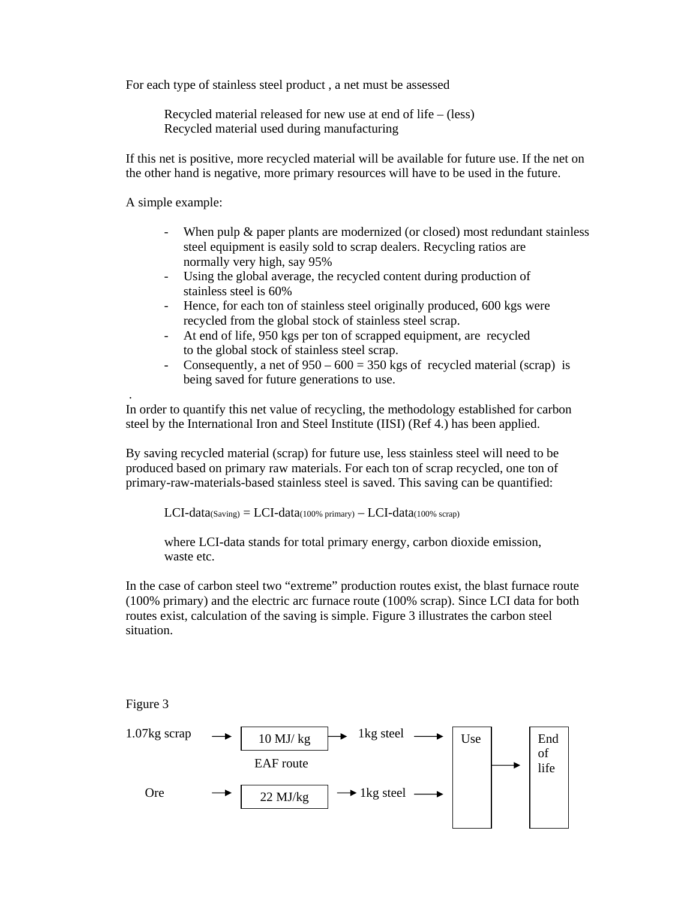For each type of stainless steel product , a net must be assessed

 Recycled material released for new use at end of life – (less) Recycled material used during manufacturing

If this net is positive, more recycled material will be available for future use. If the net on the other hand is negative, more primary resources will have to be used in the future.

A simple example:

- When pulp  $\&$  paper plants are modernized (or closed) most redundant stainless steel equipment is easily sold to scrap dealers. Recycling ratios are normally very high, say 95%
- Using the global average, the recycled content during production of stainless steel is 60%
- Hence, for each ton of stainless steel originally produced, 600 kgs were recycled from the global stock of stainless steel scrap.
- At end of life, 950 kgs per ton of scrapped equipment, are recycled to the global stock of stainless steel scrap.
- Consequently, a net of  $950 600 = 350$  kgs of recycled material (scrap) is being saved for future generations to use.

In order to quantify this net value of recycling, the methodology established for carbon steel by the International Iron and Steel Institute (IISI) (Ref 4.) has been applied.

By saving recycled material (scrap) for future use, less stainless steel will need to be produced based on primary raw materials. For each ton of scrap recycled, one ton of primary-raw-materials-based stainless steel is saved. This saving can be quantified:

 $LCI-data(Saving) = LCI-data(100% primary) - LCI-data(100% scrap)$ 

 where LCI-data stands for total primary energy, carbon dioxide emission, waste etc.

In the case of carbon steel two "extreme" production routes exist, the blast furnace route (100% primary) and the electric arc furnace route (100% scrap). Since LCI data for both routes exist, calculation of the saving is simple. Figure 3 illustrates the carbon steel situation.



.

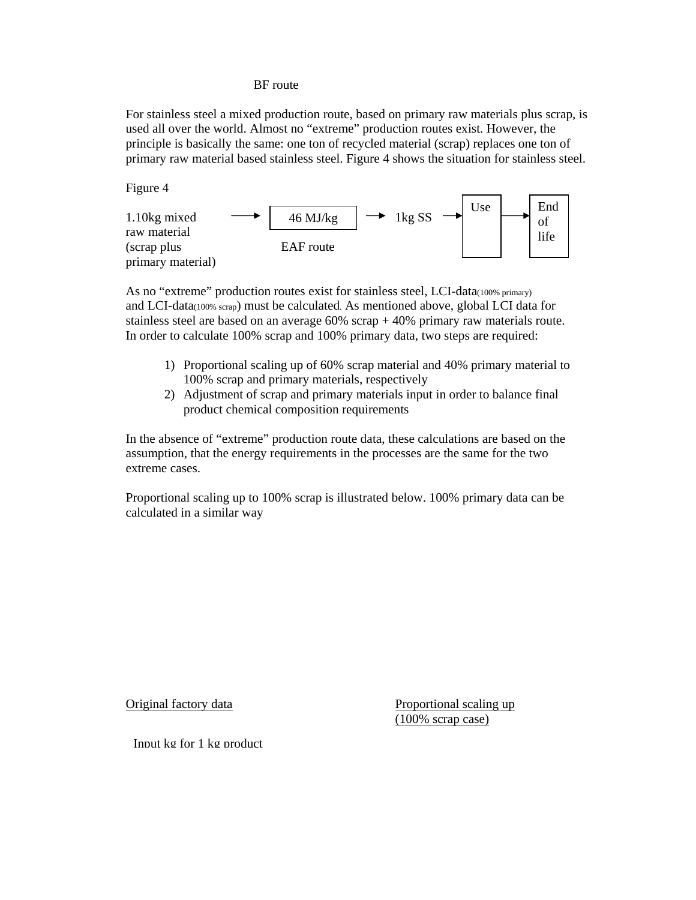#### BF route

For stainless steel a mixed production route, based on primary raw materials plus scrap, is used all over the world. Almost no "extreme" production routes exist. However, the principle is basically the same: one ton of recycled material (scrap) replaces one ton of primary raw material based stainless steel. Figure 4 shows the situation for stainless steel.

Figure 4



As no "extreme" production routes exist for stainless steel, LCI-data(100% primary) and LCI-data(100% scrap) must be calculated. As mentioned above, global LCI data for stainless steel are based on an average 60% scrap + 40% primary raw materials route. In order to calculate 100% scrap and 100% primary data, two steps are required:

- 1) Proportional scaling up of 60% scrap material and 40% primary material to 100% scrap and primary materials, respectively
- 2) Adjustment of scrap and primary materials input in order to balance final product chemical composition requirements

In the absence of "extreme" production route data, these calculations are based on the assumption, that the energy requirements in the processes are the same for the two extreme cases.

Proportional scaling up to 100% scrap is illustrated below. 100% primary data can be calculated in a similar way

Original factory data Proportional scaling up (100% scrap case)

Input kg for 1 kg product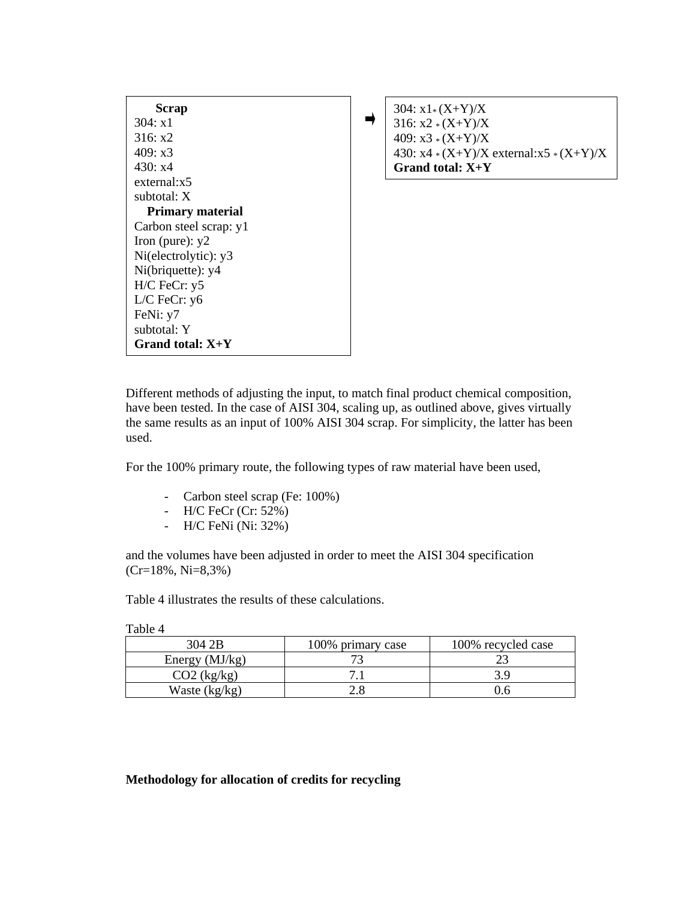| <b>Scrap</b>            |
|-------------------------|
| 304: x1                 |
| 316: x2                 |
| 409: x3                 |
| 430: x4                 |
| external:x5             |
| subtotal: X             |
| <b>Primary material</b> |
| Carbon steel scrap: y1  |
| Iron (pure): $y2$       |
| Ni(electrolytic): y3    |
| Ni(briquette): y4       |
| $H/C$ FeCr: $y5$        |
| $L/C$ FeCr: $y6$        |
| FeNi: y7                |
| subtotal: Y             |
| Grand total: $X+Y$      |

| 304: $x1*(X+Y)/X$                           |
|---------------------------------------------|
| 316: $x2 \cdot (X+Y)/X$                     |
| 409: $x3 \cdot (X+Y)/X$                     |
| 430: x4 $*(X+Y)/X$ external: $x5 * (X+Y)/X$ |
| Grand total: X+Y                            |

Different methods of adjusting the input, to match final product chemical composition, have been tested. In the case of AISI 304, scaling up, as outlined above, gives virtually the same results as an input of 100% AISI 304 scrap. For simplicity, the latter has been used.

 $\rightarrow$ 

For the 100% primary route, the following types of raw material have been used,

- Carbon steel scrap (Fe: 100%)
- H/C FeCr (Cr: 52%)
- H/C FeNi (Ni: 32%)

and the volumes have been adjusted in order to meet the AISI 304 specification (Cr=18%, Ni=8,3%)

Table 4 illustrates the results of these calculations.

Table 4

| 304 2B           | 100% primary case | 100% recycled case |  |
|------------------|-------------------|--------------------|--|
| Energy $(MJ/kg)$ |                   |                    |  |
| $CO2$ (kg/kg)    |                   | 3 Q                |  |
| Waste $(kg/kg)$  |                   |                    |  |

### **Methodology for allocation of credits for recycling**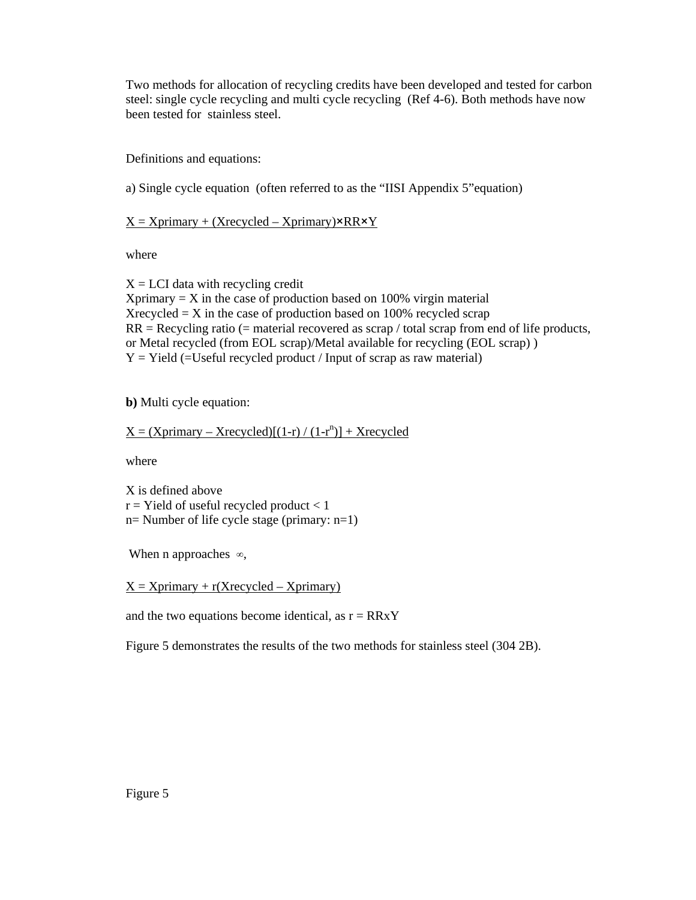Two methods for allocation of recycling credits have been developed and tested for carbon steel: single cycle recycling and multi cycle recycling (Ref 4-6). Both methods have now been tested for stainless steel.

Definitions and equations:

a) Single cycle equation (often referred to as the "IISI Appendix 5"equation)

 $X = X$ primary + (Xrecycled – Xprimary) $*RR*Y$ 

where

 $X = LCI$  data with recycling credit  $X\text{primary} = X$  in the case of production based on 100% virgin material Xrecycled  $= X$  in the case of production based on 100% recycled scrap  $RR = Recycling ratio (= material recovered as scrap / total scrap from end of life products,$ or Metal recycled (from EOL scrap)/Metal available for recycling (EOL scrap) )  $Y = Yield (=Useful \, recycleed \, product / Input \, of \, scrap \, as \, raw \, material)$ 

**b)** Multi cycle equation:

 $X = (X\text{primary} - X\text{recycled})[(1-r)/(1-r^n)] + X\text{recycled}$ 

where

X is defined above  $r =$  Yield of useful recycled product  $<$  1 n= Number of life cycle stage (primary: n=1)

When n approaches  $\infty$ ,

 $X = X$ primary + r(Xrecycled – Xprimary)

and the two equations become identical, as  $r = RRxY$ 

Figure 5 demonstrates the results of the two methods for stainless steel (304 2B).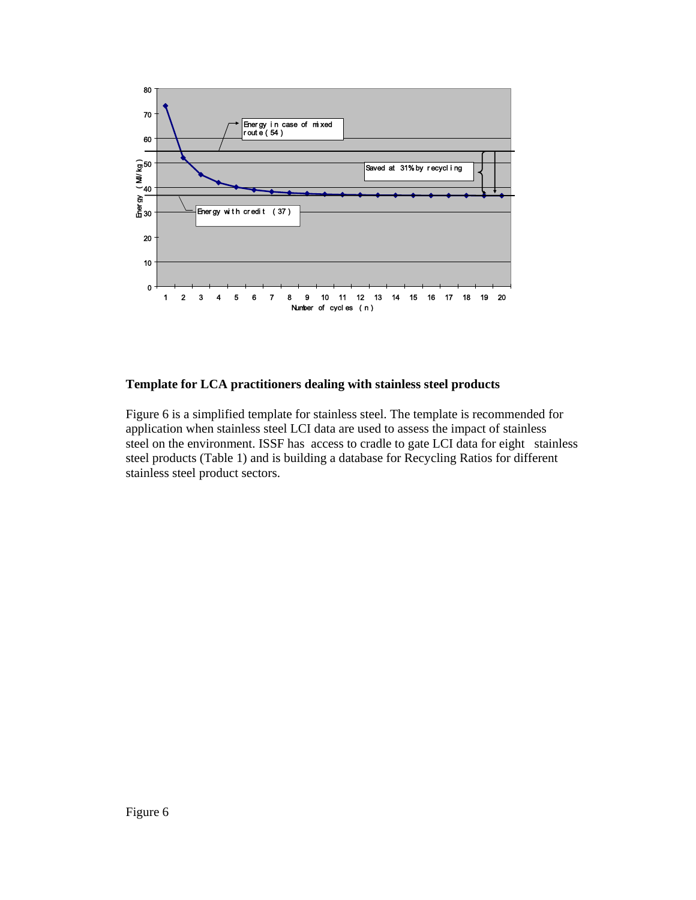

### **Template for LCA practitioners dealing with stainless steel products**

Figure 6 is a simplified template for stainless steel. The template is recommended for application when stainless steel LCI data are used to assess the impact of stainless steel on the environment. ISSF has access to cradle to gate LCI data for eight stainless steel products (Table 1) and is building a database for Recycling Ratios for different stainless steel product sectors.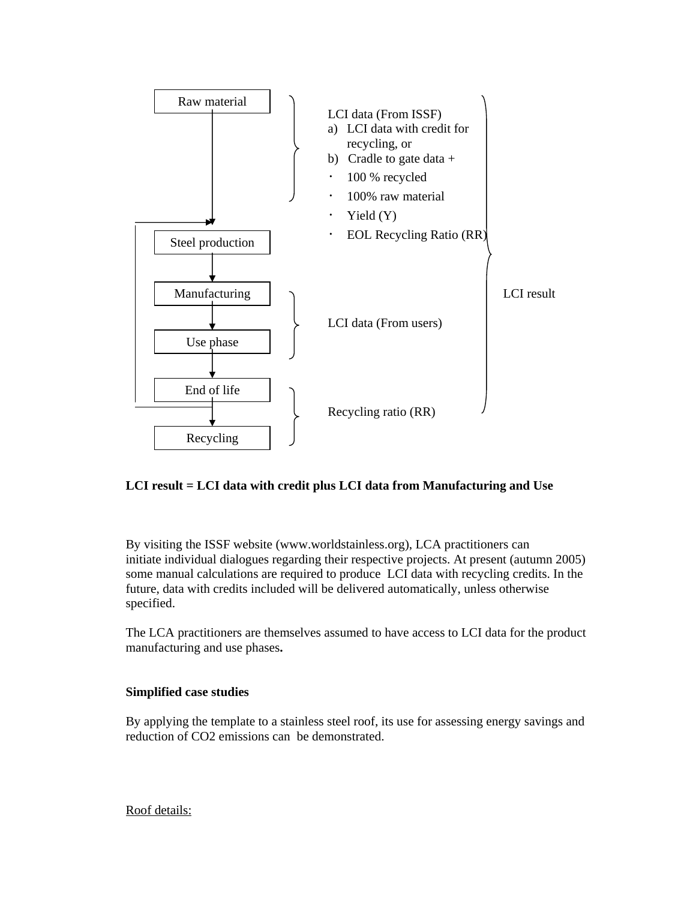

### **LCI result = LCI data with credit plus LCI data from Manufacturing and Use**

By visiting the ISSF website (www.worldstainless.org), LCA practitioners can initiate individual dialogues regarding their respective projects. At present (autumn 2005) some manual calculations are required to produce LCI data with recycling credits. In the future, data with credits included will be delivered automatically, unless otherwise specified.

The LCA practitioners are themselves assumed to have access to LCI data for the product manufacturing and use phases**.** 

### **Simplified case studies**

By applying the template to a stainless steel roof, its use for assessing energy savings and reduction of CO2 emissions can be demonstrated.

#### Roof details: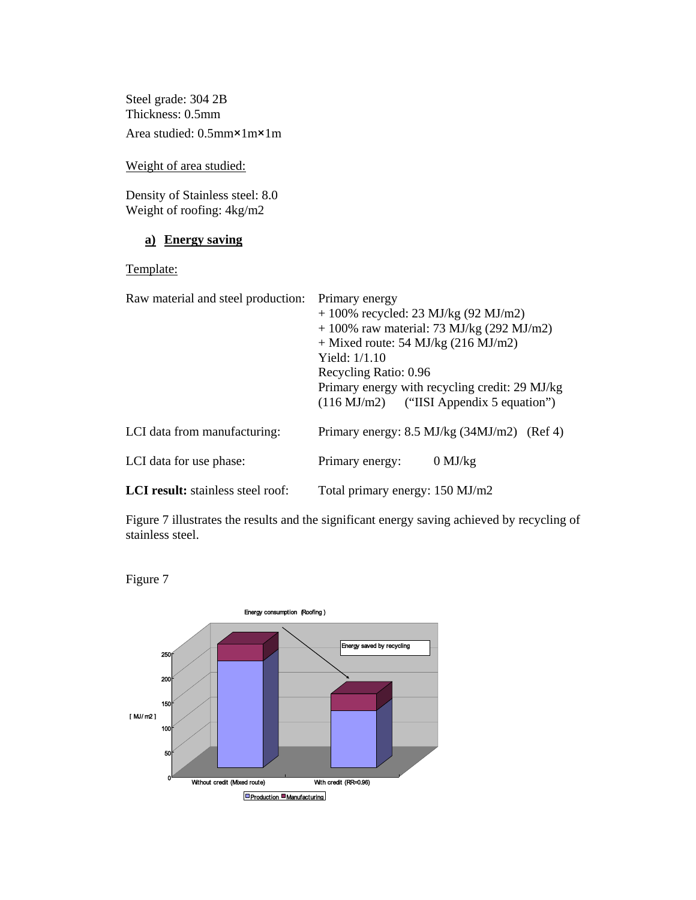Steel grade: 304 2B Thickness: 0.5mm Area studied: 0.5mm×1m×1m

Weight of area studied:

Density of Stainless steel: 8.0 Weight of roofing: 4kg/m2

# **a) Energy saving**

## Template:

| Raw material and steel production:       | Primary energy<br>$+100\%$ recycled: 23 MJ/kg (92 MJ/m2)<br>$+100\%$ raw material: 73 MJ/kg (292 MJ/m2)<br>$+$ Mixed route: 54 MJ/kg (216 MJ/m2)<br>Yield: $1/1.10$<br>Recycling Ratio: 0.96<br>Primary energy with recycling credit: 29 MJ/kg<br>$(116 \text{ MJ/m2})$ ("IISI Appendix 5 equation") |  |
|------------------------------------------|------------------------------------------------------------------------------------------------------------------------------------------------------------------------------------------------------------------------------------------------------------------------------------------------------|--|
| LCI data from manufacturing:             | Primary energy: $8.5$ MJ/kg $(34$ MJ/m2 $)$ (Ref 4)                                                                                                                                                                                                                                                  |  |
| LCI data for use phase:                  | Primary energy:<br>$0$ MJ/kg                                                                                                                                                                                                                                                                         |  |
| <b>LCI</b> result: stainless steel roof: | Total primary energy: 150 MJ/m2                                                                                                                                                                                                                                                                      |  |

Figure 7 illustrates the results and the significant energy saving achieved by recycling of stainless steel.

Figure 7

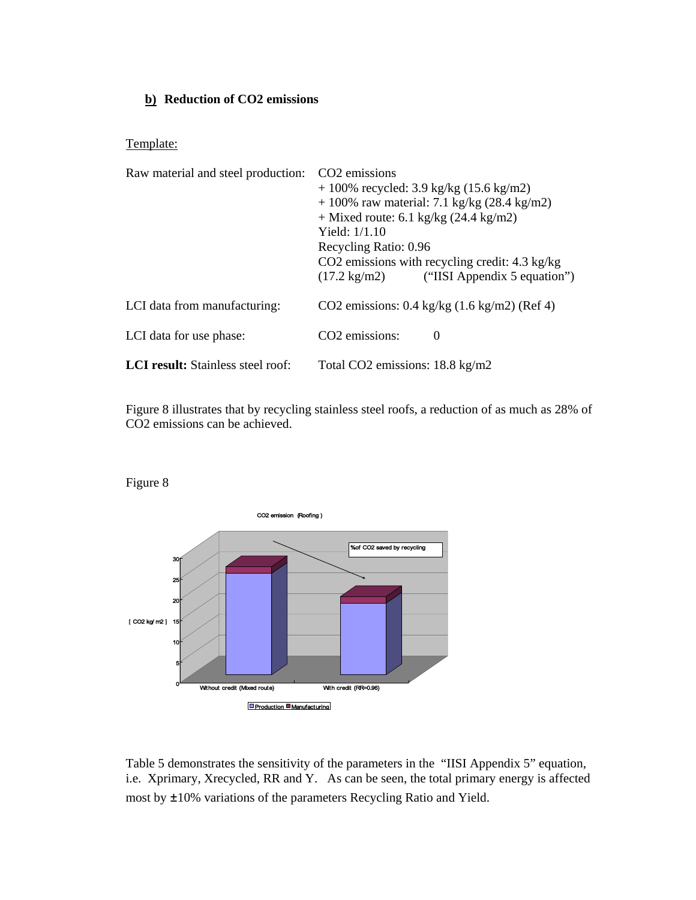### **b) Reduction of CO2 emissions**

## Template:

| Raw material and steel production:       | CO <sub>2</sub> emissions<br>$+100\%$ recycled: 3.9 kg/kg (15.6 kg/m2)<br>$+100\%$ raw material: 7.1 kg/kg (28.4 kg/m2)<br>$+$ Mixed route: 6.1 kg/kg (24.4 kg/m2)<br>Yield: $1/1.10$<br>Recycling Ratio: 0.96<br>CO2 emissions with recycling credit: 4.3 kg/kg<br>$(17.2 \text{ kg/m2})$ ("IISI Appendix 5 equation") |
|------------------------------------------|-------------------------------------------------------------------------------------------------------------------------------------------------------------------------------------------------------------------------------------------------------------------------------------------------------------------------|
| LCI data from manufacturing:             | CO2 emissions: $0.4 \text{ kg/kg}$ (1.6 kg/m2) (Ref 4)                                                                                                                                                                                                                                                                  |
| LCI data for use phase:                  | CO <sub>2</sub> emissions:<br>$\theta$                                                                                                                                                                                                                                                                                  |
| <b>LCI</b> result: Stainless steel roof: | Total CO2 emissions: 18.8 kg/m2                                                                                                                                                                                                                                                                                         |

Figure 8 illustrates that by recycling stainless steel roofs, a reduction of as much as 28% of CO2 emissions can be achieved.

# Figure 8



Table 5 demonstrates the sensitivity of the parameters in the "IISI Appendix 5" equation, i.e. Xprimary, Xrecycled, RR and Y. As can be seen, the total primary energy is affected most by ±10% variations of the parameters Recycling Ratio and Yield.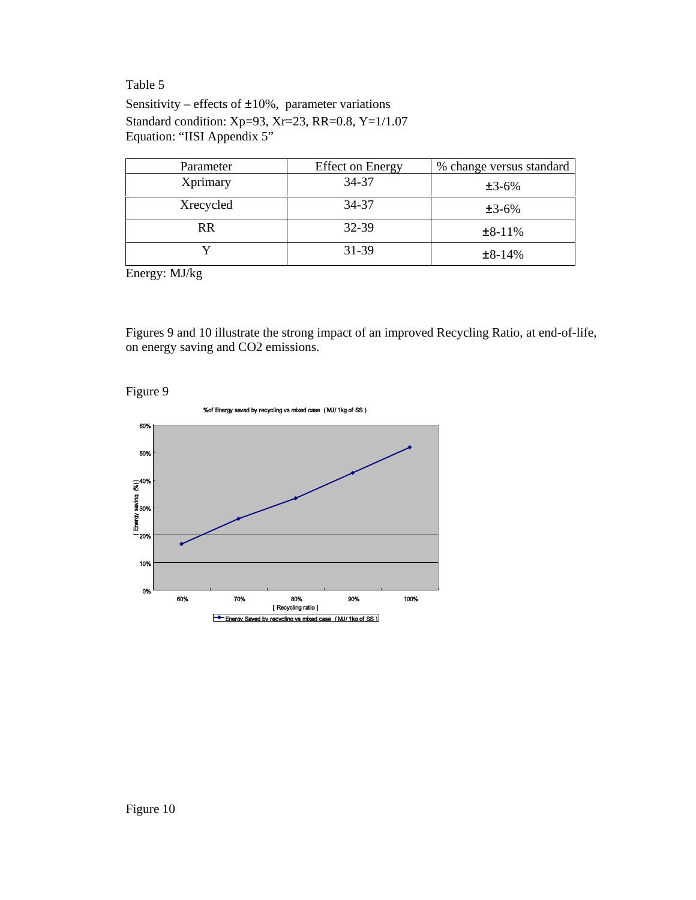Table 5

Sensitivity – effects of  $\pm 10\%$ , parameter variations Standard condition: Xp=93, Xr=23, RR=0.8, Y=1/1.07 Equation: "IISI Appendix 5"

| Parameter | <b>Effect on Energy</b> | % change versus standard |
|-----------|-------------------------|--------------------------|
| Xprimary  | 34-37                   | $±3-6%$                  |
| Xrecycled | 34-37                   | $±3-6%$                  |
| <b>RR</b> | 32-39                   | $±8-11%$                 |
|           | 31-39                   | $±8-14%$                 |

Energy: MJ/kg

Figures 9 and 10 illustrate the strong impact of an improved Recycling Ratio, at end-of-life, on energy saving and CO2 emissions.



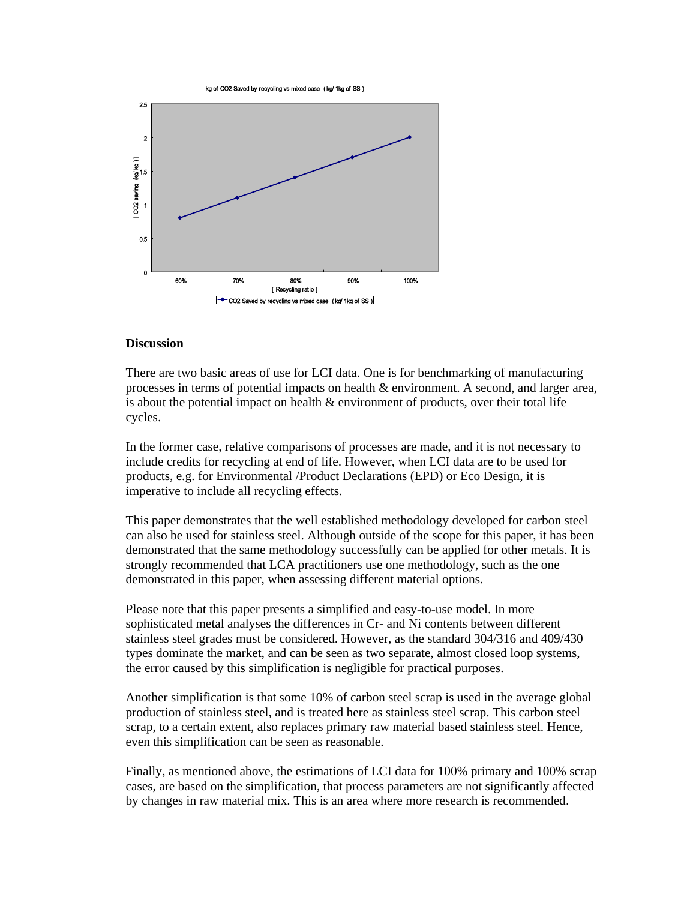kg of CO2 Saved by recycling vs mixed case ( kg/ 1kg of SS)



### **Discussion**

There are two basic areas of use for LCI data. One is for benchmarking of manufacturing processes in terms of potential impacts on health & environment. A second, and larger area, is about the potential impact on health  $\&$  environment of products, over their total life cycles.

In the former case, relative comparisons of processes are made, and it is not necessary to include credits for recycling at end of life. However, when LCI data are to be used for products, e.g. for Environmental /Product Declarations (EPD) or Eco Design, it is imperative to include all recycling effects.

This paper demonstrates that the well established methodology developed for carbon steel can also be used for stainless steel. Although outside of the scope for this paper, it has been demonstrated that the same methodology successfully can be applied for other metals. It is strongly recommended that LCA practitioners use one methodology, such as the one demonstrated in this paper, when assessing different material options.

Please note that this paper presents a simplified and easy-to-use model. In more sophisticated metal analyses the differences in Cr- and Ni contents between different stainless steel grades must be considered. However, as the standard 304/316 and 409/430 types dominate the market, and can be seen as two separate, almost closed loop systems, the error caused by this simplification is negligible for practical purposes.

Another simplification is that some 10% of carbon steel scrap is used in the average global production of stainless steel, and is treated here as stainless steel scrap. This carbon steel scrap, to a certain extent, also replaces primary raw material based stainless steel. Hence, even this simplification can be seen as reasonable.

Finally, as mentioned above, the estimations of LCI data for 100% primary and 100% scrap cases, are based on the simplification, that process parameters are not significantly affected by changes in raw material mix. This is an area where more research is recommended.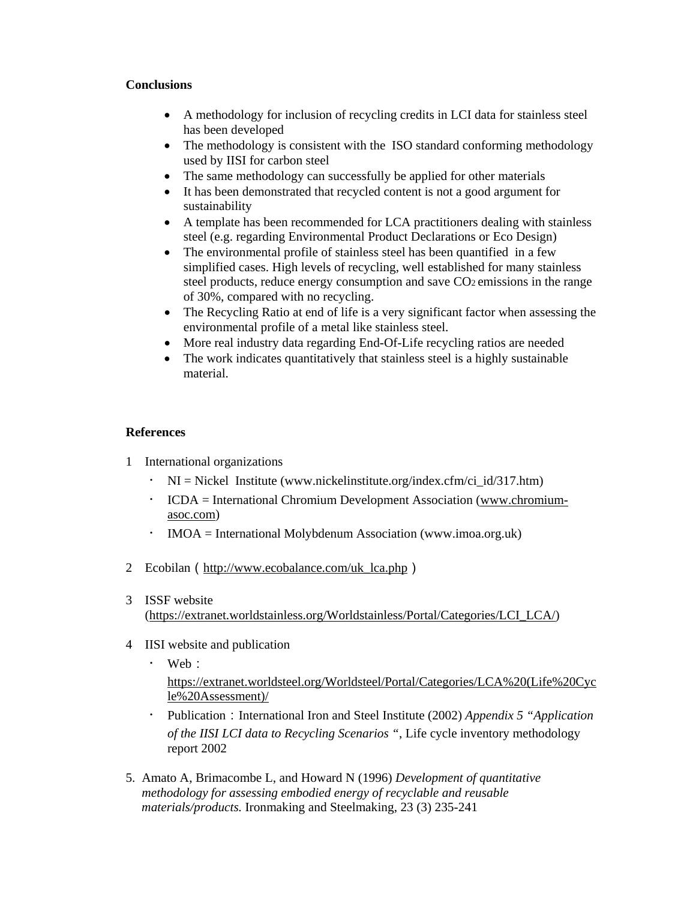## **Conclusions**

- A methodology for inclusion of recycling credits in LCI data for stainless steel has been developed
- The methodology is consistent with the ISO standard conforming methodology used by IISI for carbon steel
- The same methodology can successfully be applied for other materials
- It has been demonstrated that recycled content is not a good argument for sustainability
- A template has been recommended for LCA practitioners dealing with stainless steel (e.g. regarding Environmental Product Declarations or Eco Design)
- The environmental profile of stainless steel has been quantified in a few simplified cases. High levels of recycling, well established for many stainless steel products, reduce energy consumption and save CO<sub>2</sub> emissions in the range of 30%, compared with no recycling.
- The Recycling Ratio at end of life is a very significant factor when assessing the environmental profile of a metal like stainless steel.
- More real industry data regarding End-Of-Life recycling ratios are needed
- The work indicates quantitatively that stainless steel is a highly sustainable material.

### **References**

- 1 International organizations
	- $\cdot$  NI = Nickel Institute (www.nickelinstitute.org/index.cfm/ci\_id/317.htm)
	- ICDA = International Chromium Development Association (www.chromiumasoc.com)
	- $IMOA = International Molybdenum Association (www.imoa.org.uk)$
- 2 Ecobilan (http://www.ecobalance.com/uk\_lca.php)
- 3 ISSF website (https://extranet.worldstainless.org/Worldstainless/Portal/Categories/LCI\_LCA/)
- 4 IISI website and publication
	- ・ Web:

https://extranet.worldsteel.org/Worldsteel/Portal/Categories/LCA%20(Life%20Cyc le%20Assessment)/

- Publication: International Iron and Steel Institute (2002) *Appendix 5 "Application of the IISI LCI data to Recycling Scenarios "*, Life cycle inventory methodology report 2002
- 5. Amato A, Brimacombe L, and Howard N (1996) *Development of quantitative methodology for assessing embodied energy of recyclable and reusable materials/products.* Ironmaking and Steelmaking, 23 (3) 235-241